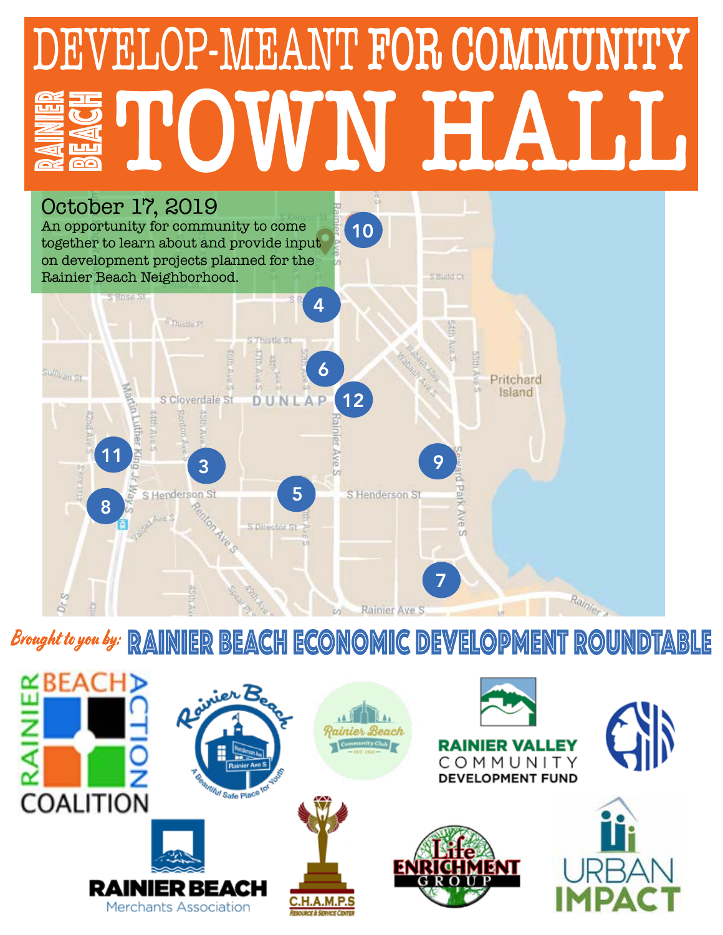# DEVELOP-MEANT FOR COMMUNITY WN HALL



# **Brought to you by: RAINIER BEACH ECONOMIC DEVELOPMENT ROUNDTABLE**

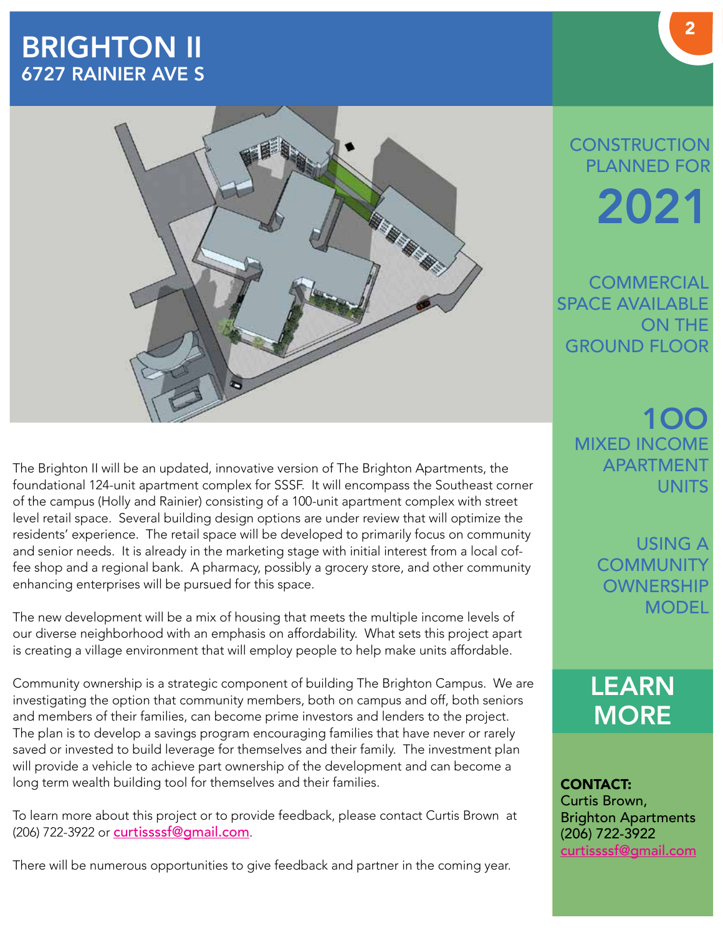# BRIGHTON II 6727 RAINIER AVE S



The Brighton II will be an updated, innovative version of The Brighton Apartments, the foundational 124-unit apartment complex for SSSF. It will encompass the Southeast corner of the campus (Holly and Rainier) consisting of a 100-unit apartment complex with street level retail space. Several building design options are under review that will optimize the residents' experience. The retail space will be developed to primarily focus on community and senior needs. It is already in the marketing stage with initial interest from a local coffee shop and a regional bank. A pharmacy, possibly a grocery store, and other community enhancing enterprises will be pursued for this space.

The new development will be a mix of housing that meets the multiple income levels of our diverse neighborhood with an emphasis on affordability. What sets this project apart is creating a village environment that will employ people to help make units affordable.

Community ownership is a strategic component of building The Brighton Campus. We are investigating the option that community members, both on campus and off, both seniors and members of their families, can become prime investors and lenders to the project. The plan is to develop a savings program encouraging families that have never or rarely saved or invested to build leverage for themselves and their family. The investment plan will provide a vehicle to achieve part ownership of the development and can become a long term wealth building tool for themselves and their families.

To learn more about this project or to provide feedback, please contact Curtis Brown at (206) 722-3922 or curtissssf@gmail.com.

There will be numerous opportunities to give feedback and partner in the coming year.

# **CONSTRUCTION** PLANNED FOR 2021

**COMMERCIAL** SPACE AVAILABLE ON THE GROUND FLOOR

> 1OO MIXED INCOME APARTMENT UNITS

> > USING A **COMMUNITY OWNERSHIP MODEL**

LEARN **MORE** 

CONTACT: Curtis Brown, Brighton Apartments (206) 722-3922 curtissssf@gmail.com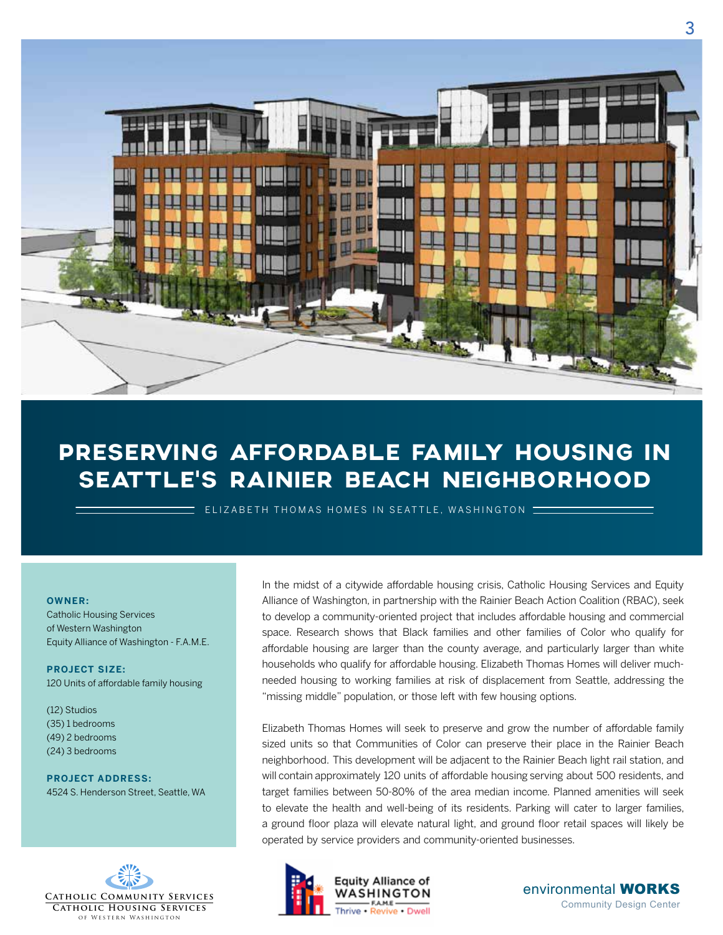

# PRESERVING AFFORDABLE FAMILY HOUSING IN SEATTLE'S RAINIER BEACH NEIGHBORHOOD

ELIZABETH THOMAS HOMES IN SEATTLE, WASHINGTON

#### **OWNER:**

Catholic Housing Services of Western Washington Equity Alliance of Washington - F.A.M.E.

**PROJECT SIZE:** 120 Units of affordable family housing

(12) Studios (35) 1 bedrooms (49) 2 bedrooms (24) 3 bedrooms

**PROJECT ADDRESS:** 4524 S. Henderson Street, Seattle, WA



In the midst of a citywide affordable housing crisis, Catholic Housing Services and Equity Alliance of Washington, in partnership with the Rainier Beach Action Coalition (RBAC), seek to develop a community-oriented project that includes affordable housing and commercial space. Research shows that Black families and other families of Color who qualify for affordable housing are larger than the county average, and particularly larger than white households who qualify for affordable housing. Elizabeth Thomas Homes will deliver muchneeded housing to working families at risk of displacement from Seattle, addressing the "missing middle" population, or those left with few housing options.

Elizabeth Thomas Homes will seek to preserve and grow the number of affordable family sized units so that Communities of Color can preserve their place in the Rainier Beach neighborhood. This development will be adjacent to the Rainier Beach light rail station, and will contain approximately 120 units of affordable housing serving about 500 residents, and target families between 50-80% of the area median income. Planned amenities will seek to elevate the health and well-being of its residents. Parking will cater to larger families, a ground floor plaza will elevate natural light, and ground floor retail spaces will likely be operated by service providers and community-oriented businesses.

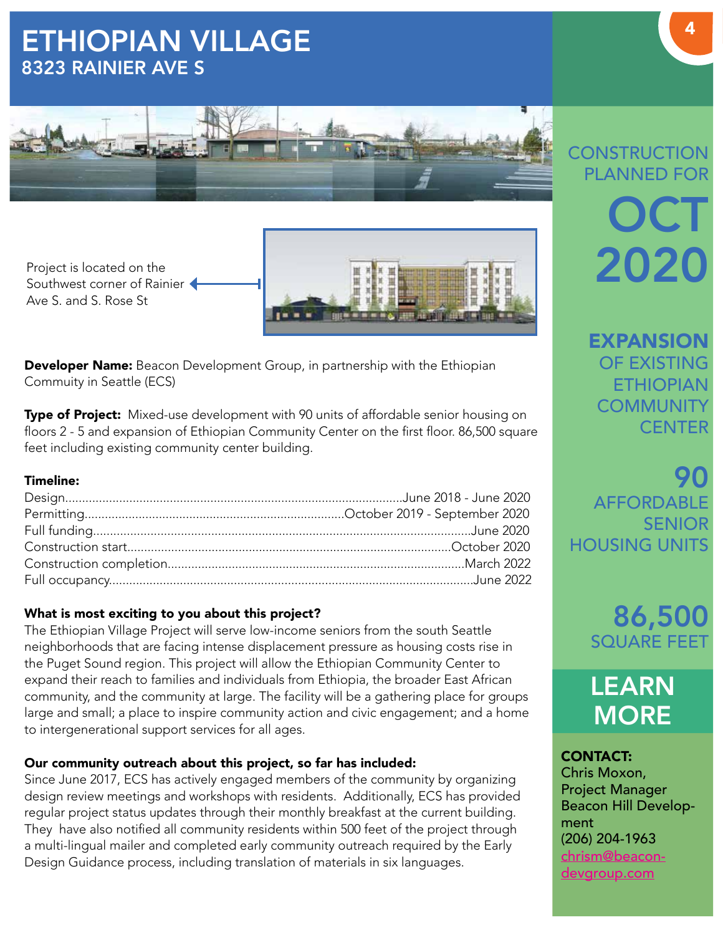# ETHIOPIAN VILLAGE 8323 RAINIER AVE S







Developer Name: Beacon Development Group, in partnership with the Ethiopian Commuity in Seattle (ECS)

**Type of Project:** Mixed-use development with 90 units of affordable senior housing on floors 2 - 5 and expansion of Ethiopian Community Center on the first floor. 86,500 square feet including existing community center building.

#### Timeline:

#### What is most exciting to you about this project?

The Ethiopian Village Project will serve low-income seniors from the south Seattle neighborhoods that are facing intense displacement pressure as housing costs rise in the Puget Sound region. This project will allow the Ethiopian Community Center to expand their reach to families and individuals from Ethiopia, the broader East African community, and the community at large. The facility will be a gathering place for groups large and small; a place to inspire community action and civic engagement; and a home to intergenerational support services for all ages.

#### Our community outreach about this project, so far has included:

Since June 2017, ECS has actively engaged members of the community by organizing design review meetings and workshops with residents. Additionally, ECS has provided regular project status updates through their monthly breakfast at the current building. They have also notified all community residents within 500 feet of the project through a multi-lingual mailer and completed early community outreach required by the Early Design Guidance process, including translation of materials in six languages.

# **CONSTRUCTION** PLANNED FOR **OCT** 2020

**EXPANSION** OF EXISTING **ETHIOPIAN COMMUNITY CENTER** 

90 AFFORDABLE SENIOR HOUSING UNITS

> 86,500 SQUARE FEET



CONTACT: Chris Moxon, Project Manager Beacon Hill Development (206) 204-1963 chrism@beacondevgroup.com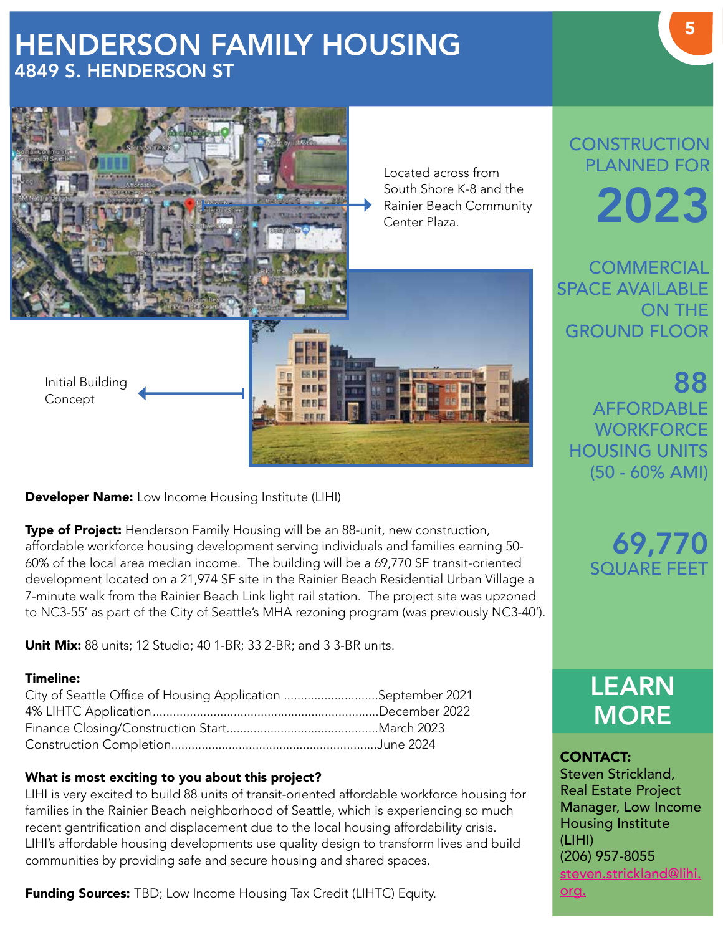# HENDERSON FAMILY HOUSING 4849 S. HENDERSON ST



**Developer Name:** Low Income Housing Institute (LIHI)

**Type of Project:** Henderson Family Housing will be an 88-unit, new construction, affordable workforce housing development serving individuals and families earning 50- 60% of the local area median income. The building will be a 69,770 SF transit-oriented development located on a 21,974 SF site in the Rainier Beach Residential Urban Village a 7-minute walk from the Rainier Beach Link light rail station. The project site was upzoned to NC3-55' as part of the City of Seattle's MHA rezoning program (was previously NC3-40').

**Unit Mix:** 88 units; 12 Studio; 40 1-BR; 33 2-BR; and 3 3-BR units.

#### Timeline:

| City of Seattle Office of Housing Application September 2021 |  |
|--------------------------------------------------------------|--|
|                                                              |  |
|                                                              |  |
|                                                              |  |

#### What is most exciting to you about this project?

LIHI is very excited to build 88 units of transit-oriented affordable workforce housing for families in the Rainier Beach neighborhood of Seattle, which is experiencing so much recent gentrification and displacement due to the local housing affordability crisis. LIHI's affordable housing developments use quality design to transform lives and build communities by providing safe and secure housing and shared spaces.

Funding Sources: TBD; Low Income Housing Tax Credit (LIHTC) Equity.

**CONSTRUCTION** PLANNED FOR 2023

**COMMERCIAL** SPACE AVAILABLE ON THE GROUND FLOOR

88 AFFORDABLE **WORKFORCE** HOUSING UNITS (50 - 60% AMI)

> 69,770 SQUARE FEET

LEARN **MORE** 

#### CONTACT: Steven Strickland, Real Estate Project Manager, Low Income Housing Institute (LIHI) (206) 957-8055 steven.strickland@lihi. org.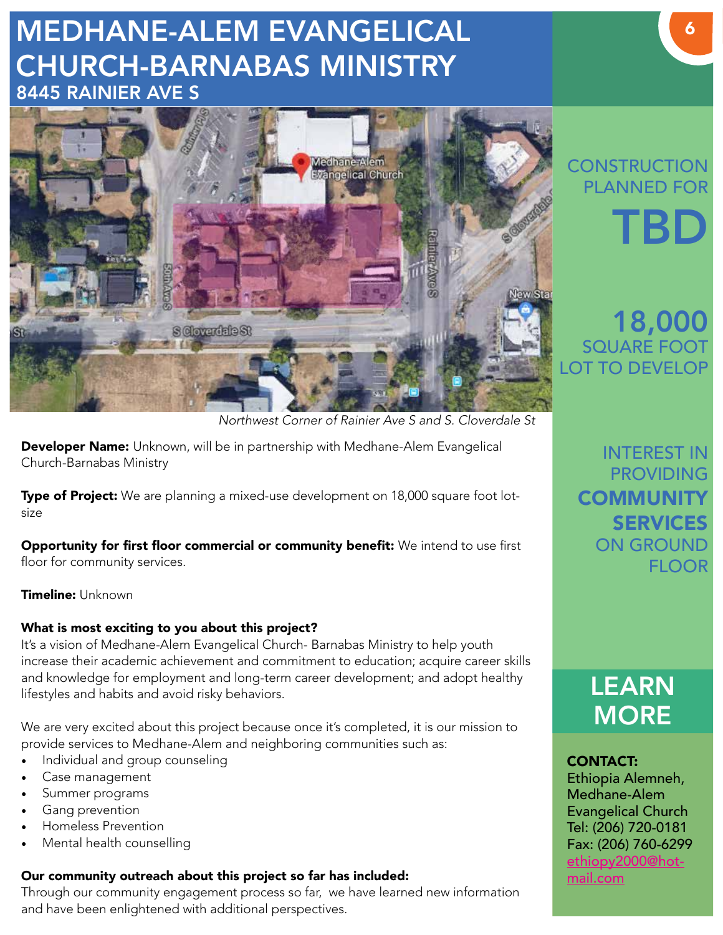# MEDHANE-ALEM EVANGELICAL CHURCH-BARNABAS MINISTRY 8445 RAINIER AVE S



*Northwest Corner of Rainier Ave S and S. Cloverdale St*

Developer Name: Unknown, will be in partnership with Medhane-Alem Evangelical Church-Barnabas Ministry

Type of Project: We are planning a mixed-use development on 18,000 square foot lotsize

Opportunity for first floor commercial or community benefit: We intend to use first floor for community services.

Timeline: Unknown

#### What is most exciting to you about this project?

It's a vision of Medhane-Alem Evangelical Church- Barnabas Ministry to help youth increase their academic achievement and commitment to education; acquire career skills and knowledge for employment and long-term career development; and adopt healthy lifestyles and habits and avoid risky behaviors.

We are very excited about this project because once it's completed, it is our mission to provide services to Medhane-Alem and neighboring communities such as:

- Individual and group counseling
- Case management
- Summer programs
- Gang prevention
- Homeless Prevention
- Mental health counselling

### Our community outreach about this project so far has included:

Through our community engagement process so far, we have learned new information and have been enlightened with additional perspectives.

# **CONSTRUCTION** PLANNED FOR TBD

# 18,000 SQUARE FOOT LOT TO DEVELOP

INTEREST IN PROVIDING **COMMUNITY** SERVICES ON GROUND FLOOR



## CONTACT:

Ethiopia Alemneh, Medhane-Alem Evangelical Church Tel: (206) 720-0181 Fax: (206) 760-6299 ethiopy2000@hotmail.com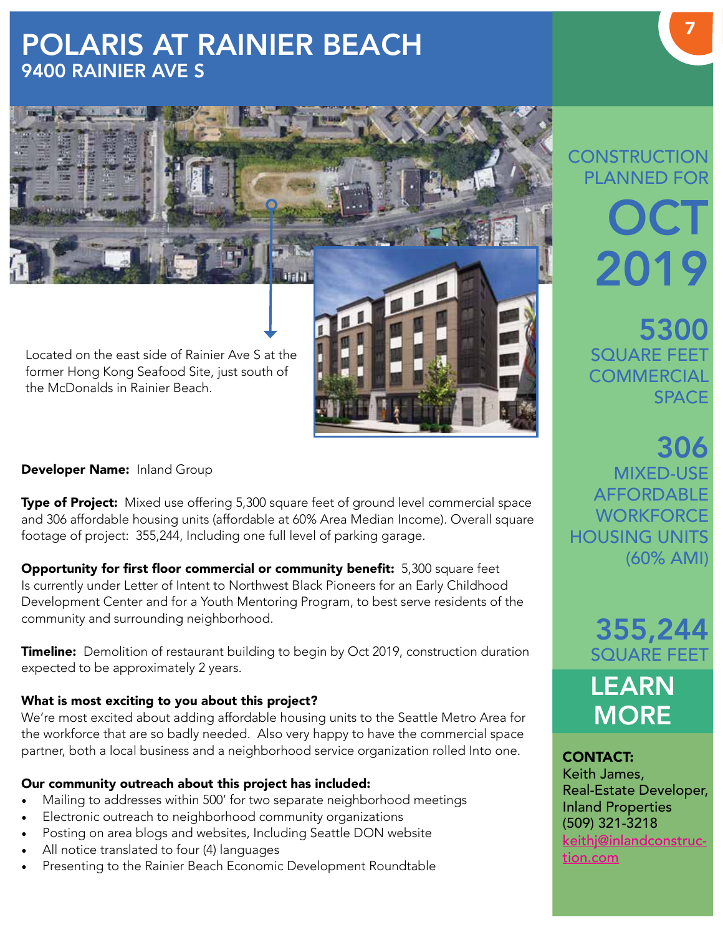# POLARIS AT RAINIER BEACH 9400 RAINIER AVE S



the McDonalds in Rainier Beach.

#### Developer Name: Inland Group

**Type of Project:** Mixed use offering 5,300 square feet of ground level commercial space and 306 affordable housing units (affordable at 60% Area Median Income). Overall square footage of project: 355,244, Including one full level of parking garage.

Opportunity for first floor commercial or community benefit: 5,300 square feet Is currently under Letter of Intent to Northwest Black Pioneers for an Early Childhood Development Center and for a Youth Mentoring Program, to best serve residents of the community and surrounding neighborhood.

**Timeline:** Demolition of restaurant building to begin by Oct 2019, construction duration expected to be approximately 2 years.

#### What is most exciting to you about this project?

We're most excited about adding affordable housing units to the Seattle Metro Area for the workforce that are so badly needed. Also very happy to have the commercial space partner, both a local business and a neighborhood service organization rolled Into one.

#### Our community outreach about this project has included:

- Mailing to addresses within 500' for two separate neighborhood meetings
- Electronic outreach to neighborhood community organizations
- Posting on area blogs and websites, Including Seattle DON website
- All notice translated to four (4) languages
- Presenting to the Rainier Beach Economic Development Roundtable

# **CONSTRUCTION** PLANNED FOR **OCT** 2019

5300 SQUARE FEET **COMMERCIAL SPACE** 

306 MIXED-USE AFFORDABLE **WORKFORCF** HOUSING UNITS (60% AMI)

355,244 SQUARE FEET LEARN **MORE** 

CONTACT: Keith James, Real-Estate Developer, Inland Properties (509) 321-3218 keithj@inlandconstruction.com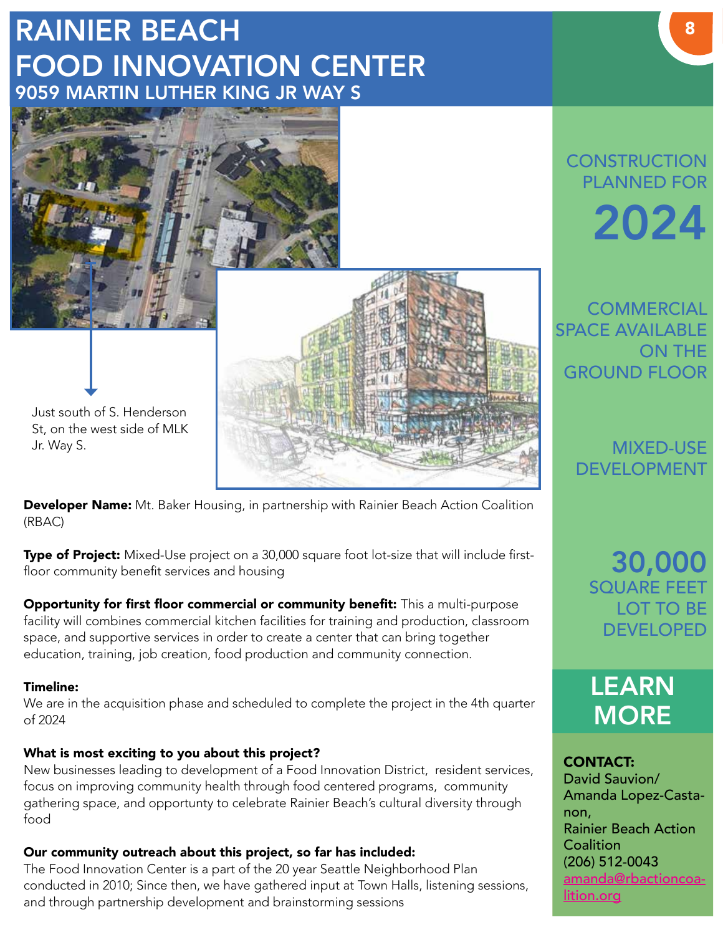# RAINIER BEACH FOOD INNOVATION CENTER 9059 MARTIN LUTHER KING JR WAY S



Developer Name: Mt. Baker Housing, in partnership with Rainier Beach Action Coalition (RBAC)

Type of Project: Mixed-Use project on a 30,000 square foot lot-size that will include firstfloor community benefit services and housing

Opportunity for first floor commercial or community benefit: This a multi-purpose facility will combines commercial kitchen facilities for training and production, classroom space, and supportive services in order to create a center that can bring together education, training, job creation, food production and community connection.

#### Timeline:

We are in the acquisition phase and scheduled to complete the project in the 4th quarter of 2024

#### What is most exciting to you about this project?

New businesses leading to development of a Food Innovation District, resident services, focus on improving community health through food centered programs, community gathering space, and opportunty to celebrate Rainier Beach's cultural diversity through food

#### Our community outreach about this project, so far has included:

The Food Innovation Center is a part of the 20 year Seattle Neighborhood Plan conducted in 2010; Since then, we have gathered input at Town Halls, listening sessions, and through partnership development and brainstorming sessions

# **CONSTRUCTION** PLANNED FOR 2024

**COMMERCIAL** SPACE AVAILABLE ON THE GROUND FLOOR

> MIXED-USE DEVELOPMENT

30,000 SQUARE FEET LOT TO BE DEVELOPED



CONTACT: David Sauvion/ Amanda Lopez-Castanon, Rainier Beach Action **Coalition** (206) 512-0043 amanda@rbactioncoalition.org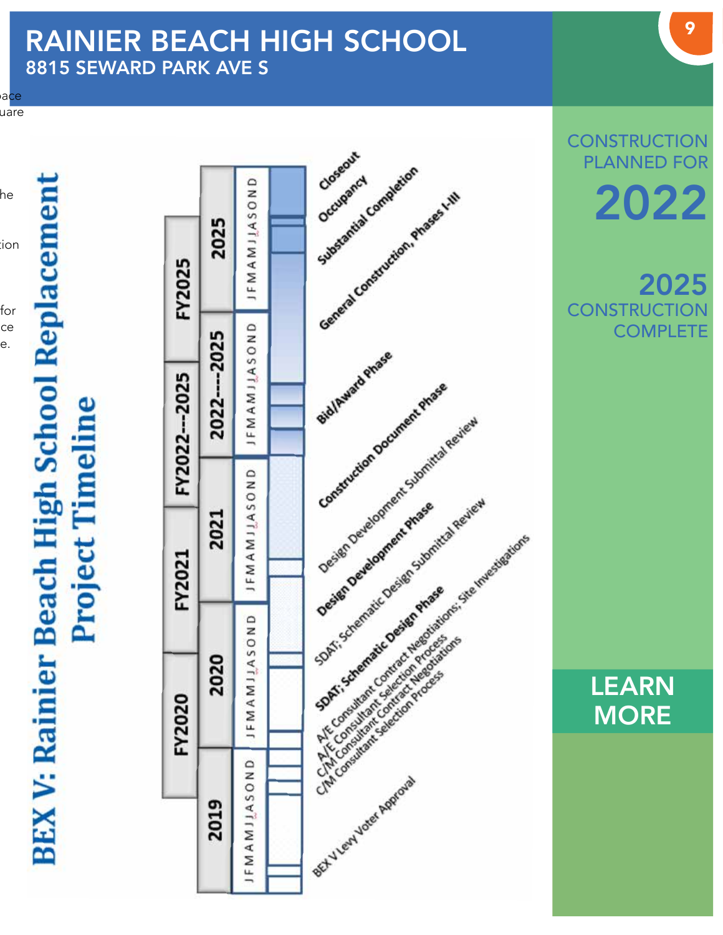# RAINIER BEACH HIGH SCHOOL 8815 SEWARD PARK AVE S

 $\mathsf{a}$ ce  $u$ are

he ion:

for ce e.

# **BEX V: Rainier Beach High School Replacement Project Timeline**

|                          | FY2020                                                                                                       |                | FY2021                                                                         | FY2022--2025                                   | FY2025                                                      |          |
|--------------------------|--------------------------------------------------------------------------------------------------------------|----------------|--------------------------------------------------------------------------------|------------------------------------------------|-------------------------------------------------------------|----------|
| 2019                     |                                                                                                              | 020<br>ส       | 2021                                                                           | 2022---2025                                    | 2025                                                        |          |
| JFMAMJJASOND             | JFMAM                                                                                                        | <b>UNOSVII</b> | JFMAMJJASOND                                                                   | JFMAMJJASOND                                   | JFMAMJJASOND                                                |          |
|                          |                                                                                                              |                |                                                                                |                                                |                                                             |          |
|                          |                                                                                                              |                |                                                                                |                                                |                                                             | Closeout |
| of I very voter Approval | TAT Consultant Cantacter Registered<br>The Concultant Calcion Procession<br>CIM Consultant Selection Process |                | Design Development Submittal Review<br>SDAT: Schematic Design Submittal Review | Bid/Award Phase<br>Construction Document Phase | Substantial Completion<br>General Construction, Phases Lttl |          |
|                          |                                                                                                              |                |                                                                                |                                                |                                                             |          |
|                          |                                                                                                              |                |                                                                                |                                                |                                                             |          |
|                          |                                                                                                              |                | A TE Consultant contract weepstations site imaging tons                        |                                                |                                                             |          |

**CONSTRUCTION** PLANNED FOR 2022

2025 **CONSTRUCTION COMPLETE** 

> LEARN **MORE**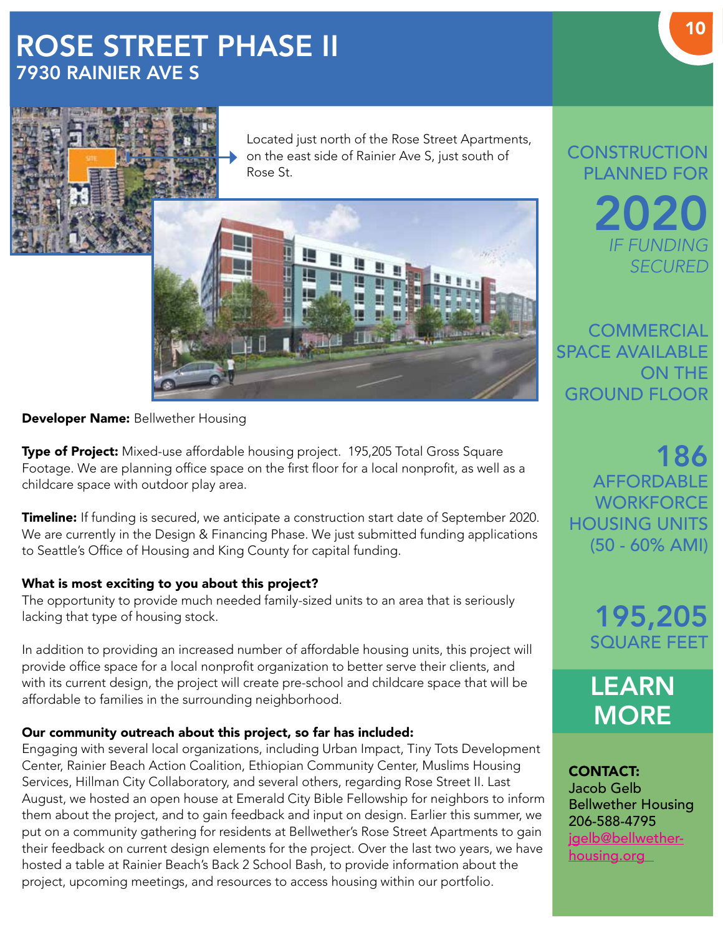# ROSE STREET PHASE II 7930 RAINIER AVE S



Located just north of the Rose Street Apartments, on the east side of Rainier Ave S, just south of Rose St.



#### **Developer Name: Bellwether Housing**

Type of Project: Mixed-use affordable housing project. 195,205 Total Gross Square Footage. We are planning office space on the first floor for a local nonprofit, as well as a childcare space with outdoor play area.

**Timeline:** If funding is secured, we anticipate a construction start date of September 2020. We are currently in the Design & Financing Phase. We just submitted funding applications to Seattle's Office of Housing and King County for capital funding.

#### What is most exciting to you about this project?

The opportunity to provide much needed family-sized units to an area that is seriously lacking that type of housing stock.

In addition to providing an increased number of affordable housing units, this project will provide office space for a local nonprofit organization to better serve their clients, and with its current design, the project will create pre-school and childcare space that will be affordable to families in the surrounding neighborhood.

#### Our community outreach about this project, so far has included:

Engaging with several local organizations, including Urban Impact, Tiny Tots Development Center, Rainier Beach Action Coalition, Ethiopian Community Center, Muslims Housing Services, Hillman City Collaboratory, and several others, regarding Rose Street II. Last August, we hosted an open house at Emerald City Bible Fellowship for neighbors to inform them about the project, and to gain feedback and input on design. Earlier this summer, we put on a community gathering for residents at Bellwether's Rose Street Apartments to gain their feedback on current design elements for the project. Over the last two years, we have hosted a table at Rainier Beach's Back 2 School Bash, to provide information about the project, upcoming meetings, and resources to access housing within our portfolio.

**CONSTRUCTION** PLANNED FOR 2020 *IF FUNDING SECURED*

**COMMERCIAL** SPACE AVAILABLE ON THE GROUND FLOOR

186 AFFORDABLE **WORKFORCE** HOUSING UNITS (50 - 60% AMI)

> 195,205 SQUARE FEET

LEARN **MORE** 

CONTACT: Jacob Gelb Bellwether Housing 206-588-4795 igelb@bellwetherhousing.org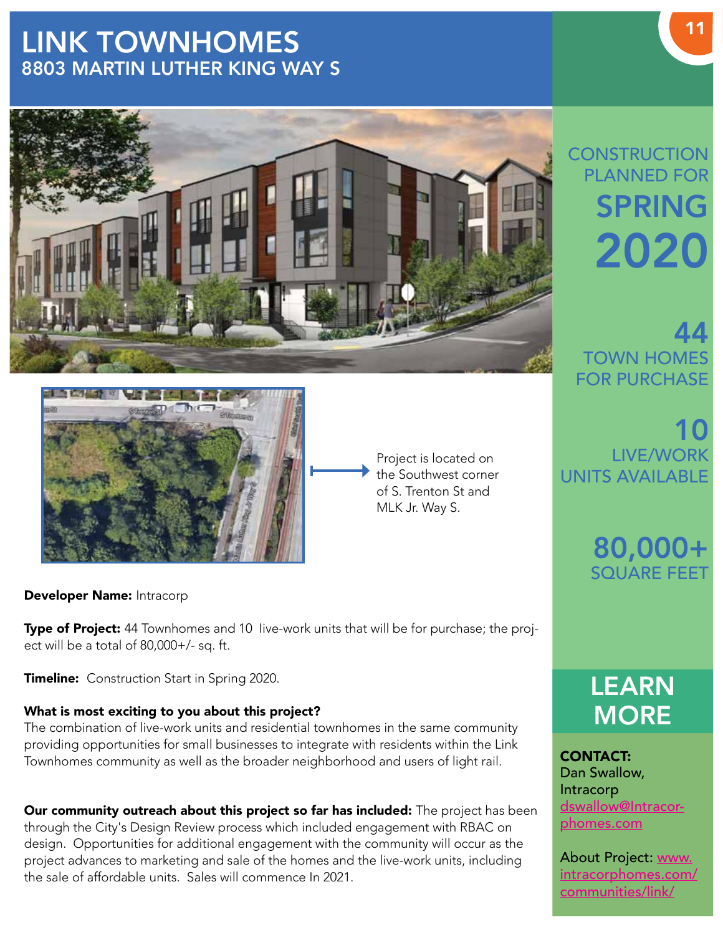# LINK TOWNHOMES 8803 MARTIN LUTHER KING WAY S





Project is located on the Southwest corner of S. Trenton St and MLK Jr. Way S.

Developer Name: Intracorp

Type of Project: 44 Townhomes and 10 live-work units that will be for purchase; the project will be a total of 80,000+/- sq. ft.

Timeline: Construction Start in Spring 2020.

#### What is most exciting to you about this project?

The combination of live-work units and residential townhomes in the same community providing opportunities for small businesses to integrate with residents within the Link Townhomes community as well as the broader neighborhood and users of light rail.

Our community outreach about this project so far has included: The project has been through the City's Design Review process which included engagement with RBAC on design. Opportunities for additional engagement with the community will occur as the project advances to marketing and sale of the homes and the live-work units, including the sale of affordable units. Sales will commence In 2021.

# **CONSTRUCTION** PLANNED FOR SPRING 2020

44 TOWN HOMES FOR PURCHASE

10 LIVE/WORK UNITS AVAILABLE

> 80,000+ SQUARE FEET

LEARN **MORE** 

CONTACT: Dan Swallow, Intracorp dswallow@Intracorphomes.com

About Project: www. intracorphomes.com/ communities/link/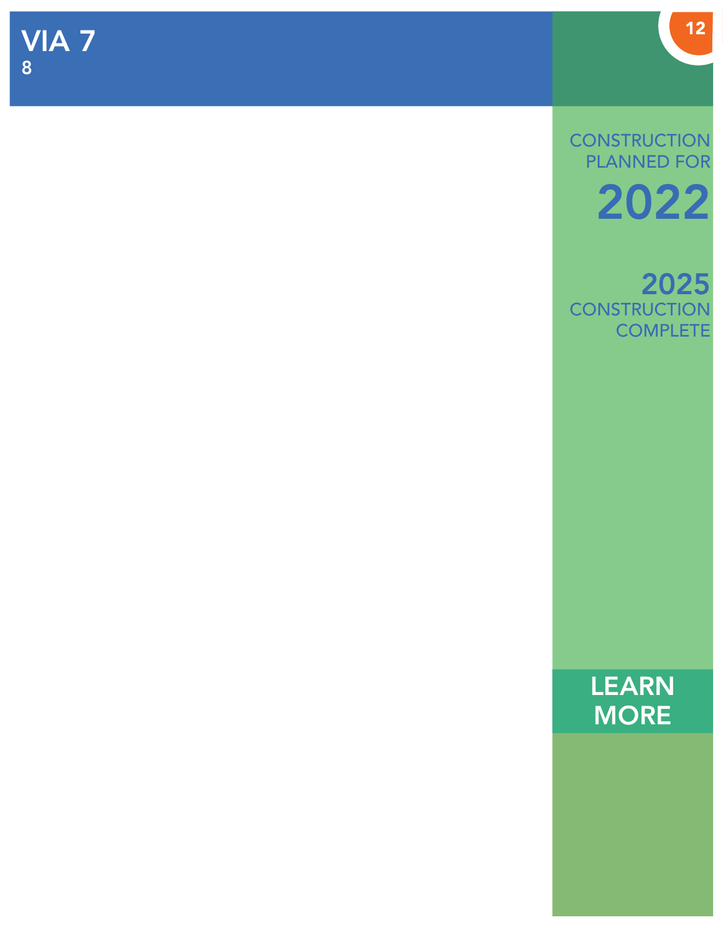**CONSTRUCTION** PLANNED FOR 2022

2025 **CONSTRUCTION COMPLETE** 

> LEARN **MORE**